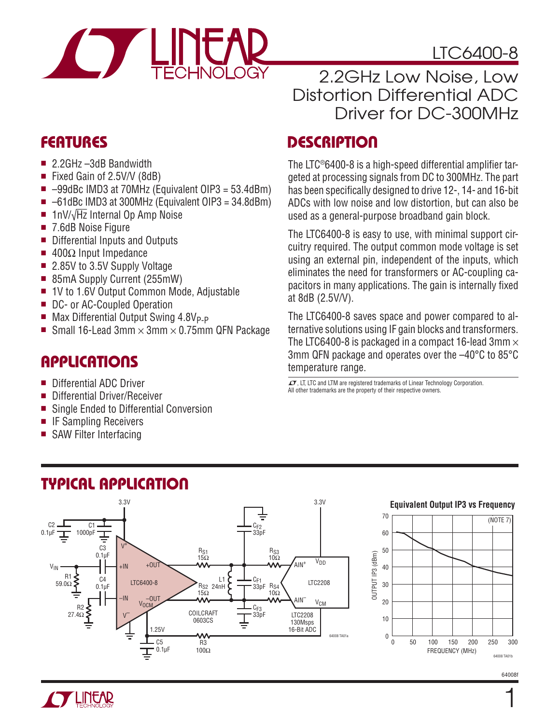

# LTC6400-8

### 2.2GHz Low Noise, Low Distortion Differential ADC Driver for DC-300MHz

## **FEATURES**

- 2.2GHz –3dB Bandwidth
- Fixed Gain of 2.5V/V (8dB)
- $\blacksquare$  -99dBc IMD3 at 70MHz (Equivalent OIP3 = 53.4dBm)
- $\blacksquare$  –61dBc IMD3 at 300MHz (Equivalent OIP3 = 34.8dBm)
- 1nV/ $\sqrt{Hz}$  Internal Op Amp Noise
- 7.6dB Noise Figure
- Differential Inputs and Outputs
- $\blacksquare$  400Ω Input Impedance
- 2.85V to 3.5V Supply Voltage
- 85mA Supply Current (255mW)
- 1V to 1.6V Output Common Mode, Adjustable
- DC- or AC-Coupled Operation
- $\blacksquare$  Max Differential Output Swing 4.8V<sub>P-P</sub>
- Small 16-Lead 3mm  $\times$  3mm  $\times$  0.75mm QFN Package

## **APPLICATIONS**

- Differential ADC Driver
- Differential Driver/Receiver
- Single Ended to Differential Conversion
- IF Sampling Receivers
- SAW Filter Interfacing

# **DESCRIPTION**

The LTC®6400-8 is a high-speed differential amplifier targeted at processing signals from DC to 300MHz. The part has been specifically designed to drive 12-, 14- and 16-bit ADCs with low noise and low distortion, but can also be used as a general-purpose broadband gain block.

The LTC6400-8 is easy to use, with minimal support circuitry required. The output common mode voltage is set using an external pin, independent of the inputs, which eliminates the need for transformers or AC-coupling capacitors in many applications. The gain is internally fixed at 8dB (2.5V/V).

The LTC6400-8 saves space and power compared to alternative solutions using IF gain blocks and transformers. The LTC6400-8 is packaged in a compact 16-lead 3mm  $\times$ 3mm QFN package and operates over the –40°C to 85°C temperature range.

 $\textbf{\textit{I}}$ , LT, LTC and LTM are registered trademarks of Linear Technology Corporation. All other trademarks are the property of their respective owners.



# **TYPICAL APPLICATION**

64008 TA01b

(NOTE 7)

FREQUENCY (MHz)

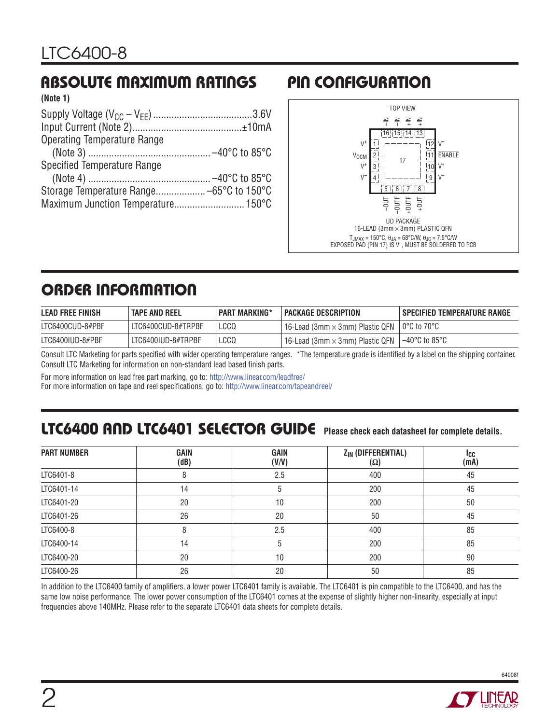#### **ABSOLUTE MAXIMUM RATINGS (Note 1)**

| <b>INDIG II</b>                    |  |
|------------------------------------|--|
|                                    |  |
|                                    |  |
| <b>Operating Temperature Range</b> |  |
|                                    |  |
| Specified Temperature Range        |  |
|                                    |  |
|                                    |  |
|                                    |  |
|                                    |  |

# **PIN CONFIGURATION**



# **ORDER INFORMATION**

| <b>LEAD FREE FINISH</b> | TAPE AND REEL      | <b>PART MARKING*</b> | PACKAGE DESCRIPTION                                                    | I SPECIFIED TEMPERATURE RANGE |
|-------------------------|--------------------|----------------------|------------------------------------------------------------------------|-------------------------------|
| LTC6400CUD-8#PBF        | LTC6400CUD-8#TRPBF | LCCQ                 | $16$ -Lead (3mm $\times$ 3mm) Plastic QFN                              | l 0°C to 70°C                 |
| LTC6400IUD-8#PBF        | LTC6400IUD-8#TRPBF | LCCQ                 | $^{\mathrm{+}}$ 16-Lead (3mm $\times$ 3mm) Plastic QFN $^{\mathrm{+}}$ | 1–40°C to 85°C                |

Consult LTC Marketing for parts specified with wider operating temperature ranges. \*The temperature grade is identified by a label on the shipping container. Consult LTC Marketing for information on non-standard lead based finish parts.

For more information on lead free part marking, go to: http://www.linear.com/leadfree/

For more information on tape and reel specifications, go to: http://www.linear.com/tapeandreel/

## **LTC6400 AND LTC6401 SELECTOR GUIDE Please check each datasheet for complete details.**

| <b>PART NUMBER</b> | <b>GAIN</b><br>(dB) | <b>GAIN</b><br>(V/V) | Z <sub>IN</sub> (DIFFERENTIAL)<br>(Ω) | ICC<br>(mA) |
|--------------------|---------------------|----------------------|---------------------------------------|-------------|
| LTC6401-8          | 8                   | 2.5                  | 400                                   | 45          |
| LTC6401-14         | 14                  | 5                    | 200                                   | 45          |
| LTC6401-20         | 20                  | 10                   | 200                                   | 50          |
| LTC6401-26         | 26                  | 20                   | 50                                    | 45          |
| LTC6400-8          | 8                   | 2.5                  | 400                                   | 85          |
| LTC6400-14         | 14                  | 5                    | 200                                   | 85          |
| LTC6400-20         | 20                  | 10                   | 200                                   | 90          |
| LTC6400-26         | 26                  | 20                   | 50                                    | 85          |

In addition to the LTC6400 family of amplifiers, a lower power LTC6401 family is available. The LTC6401 is pin compatible to the LTC6400, and has the same low noise performance. The lower power consumption of the LTC6401 comes at the expense of slightly higher non-linearity, especially at input frequencies above 140MHz. Please refer to the separate LTC6401 data sheets for complete details.

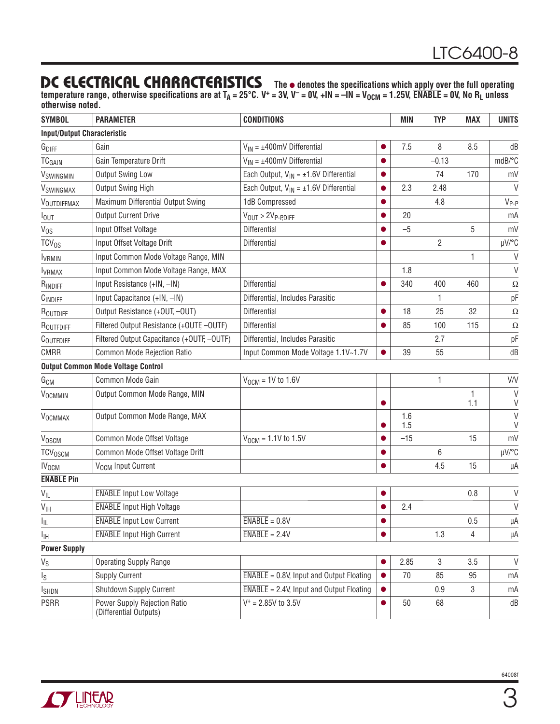### **DC ELECTRICAL CHARACTERISTICS** The  $\bullet$  denotes the specifications which apply over the full operating

temperature range, otherwise specifications are at T<sub>A</sub> = 25°C. V<sup>+</sup> = 3V, V<sup>-</sup> = 0V, +IN = -IN = V<sub>OCM</sub> = 1.25V,  $\overline{\textsf{ENABLE}}$  = 0V, No R<sub>L</sub> unless **otherwise noted.**

| <b>SYMBOL</b>                      | <b>PARAMETER</b>                                       | <b>CONDITIONS</b>                                            |           | <b>MIN</b> | <b>TYP</b>     | <b>MAX</b> | <b>UNITS</b> |
|------------------------------------|--------------------------------------------------------|--------------------------------------------------------------|-----------|------------|----------------|------------|--------------|
| <b>Input/Output Characteristic</b> |                                                        |                                                              |           |            |                |            |              |
| G <sub>DIFF</sub>                  | Gain                                                   | $V_{IN} = \pm 400$ mV Differential                           |           | 7.5        | 8              | 8.5        | dB           |
| <b>TCGAIN</b>                      | Gain Temperature Drift                                 | $V_{IN} = \pm 400$ mV Differential                           |           |            | $-0.13$        |            | mdB/°C       |
| VSWINGMIN                          | Output Swing Low                                       | Each Output, $V_{IN} = \pm 1.6V$ Differential                | $\bullet$ |            | 74             | 170        | mV           |
| VSWINGMAX                          | Output Swing High                                      | Each Output, $V_{IN} = \pm 1.6V$ Differential                |           | 2.3        | 2.48           |            | V            |
| VOUTDIFFMAX                        | Maximum Differential Output Swing                      | 1dB Compressed                                               | $\bullet$ |            | 4.8            |            | $V_{P-P}$    |
| lout                               | <b>Output Current Drive</b>                            | $V_{OUT}$ > $2V_{P-PDIFF}$                                   |           | 20         |                |            | mA           |
| V <sub>os</sub>                    | Input Offset Voltage                                   | Differential                                                 |           | $-5$       |                | 5          | mV           |
| $TCV_{OS}$                         | Input Offset Voltage Drift                             | Differential                                                 |           |            | $\overline{2}$ |            | µV/°C        |
| <b>IVRMIN</b>                      | Input Common Mode Voltage Range, MIN                   |                                                              |           |            |                | 1          | $\vee$       |
| <b>I</b> VRMAX                     | Input Common Mode Voltage Range, MAX                   |                                                              |           | 1.8        |                |            | V            |
| RINDIFF                            | Input Resistance (+IN, -IN)                            | Differential                                                 |           | 340        | 400            | 460        | Ω            |
| CINDIFF                            | Input Capacitance (+IN, -IN)                           | Differential, Includes Parasitic                             |           |            | 1              |            | рF           |
| ROUTDIFF                           | Output Resistance (+OUT, -OUT)                         | Differential                                                 | $\bullet$ | 18         | 25             | 32         | $\Omega$     |
| ROUTFDIFF                          | Filtered Output Resistance (+OUTF, -OUTF)              | Differential                                                 |           | 85         | 100            | 115        | $\Omega$     |
| COUTFDIFF                          | Filtered Output Capacitance (+OUTF, -OUTF)             | Differential, Includes Parasitic                             |           |            | 2.7            |            | pF           |
| <b>CMRR</b>                        | <b>Common Mode Rejection Ratio</b>                     | Input Common Mode Voltage 1.1V~1.7V                          |           | 39         | 55             |            | dB           |
|                                    | <b>Output Common Mode Voltage Control</b>              |                                                              |           |            |                |            |              |
| G <sub>CM</sub>                    | Common Mode Gain                                       | $V_{OCM}$ = 1V to 1.6V                                       |           |            | 1              |            | V/V          |
| VOCMMIN                            | Output Common Mode Range, MIN                          |                                                              |           |            |                | 1<br>1.1   | $\vee$<br>V  |
| <b>VOCMMAX</b>                     | Output Common Mode Range, MAX                          |                                                              |           | 1.6<br>1.5 |                |            | $\vee$<br>V  |
| VOSCM                              | Common Mode Offset Voltage                             | $V_{OCM} = 1.1V$ to 1.5V                                     |           | $-15$      |                | 15         | mV           |
| TCV <sub>OSCM</sub>                | Common Mode Offset Voltage Drift                       |                                                              |           |            | 6              |            | µV/°C        |
| <b>IV<sub>OCM</sub></b>            | V <sub>OCM</sub> Input Current                         |                                                              |           |            | 4.5            | 15         | μA           |
| <b>ENABLE Pin</b>                  |                                                        |                                                              |           |            |                |            |              |
| $V_{IL}$                           | <b>ENABLE</b> Input Low Voltage                        |                                                              |           |            |                | 0.8        | $\vee$       |
| $V_{\text{IH}}$                    | <b>ENABLE</b> Input High Voltage                       |                                                              |           | 2.4        |                |            | $\vee$       |
| $I_{\parallel L}$                  | <b>ENABLE</b> Input Low Current                        | $\overline{\text{ENABLE}} = 0.8 \text{V}$                    |           |            |                | 0.5        | μA           |
| Īщ                                 | <b>ENABLE</b> Input High Current                       | $ENABLE = 2.4V$                                              |           |            | 1.3            | 4          | μA           |
| <b>Power Supply</b>                |                                                        |                                                              |           |            |                |            |              |
| $\mathsf{V}_{\mathsf{S}}$          | <b>Operating Supply Range</b>                          |                                                              |           | 2.85       | $\mathbf 3$    | 3.5        | V            |
| $I_{\rm S}$                        | <b>Supply Current</b>                                  | $\overline{\text{ENABLE}}$ = 0.8V, Input and Output Floating |           | 70         | 85             | 95         | mA           |
| <b>I</b> SHDN                      | Shutdown Supply Current                                | $\overline{\text{ENABLE}}$ = 2.4V, Input and Output Floating |           |            | 0.9            | 3          | mA           |
| <b>PSRR</b>                        | Power Supply Rejection Ratio<br>(Differential Outputs) | $V^+ = 2.85V$ to 3.5V                                        | $\bullet$ | 50         | 68             |            | dB           |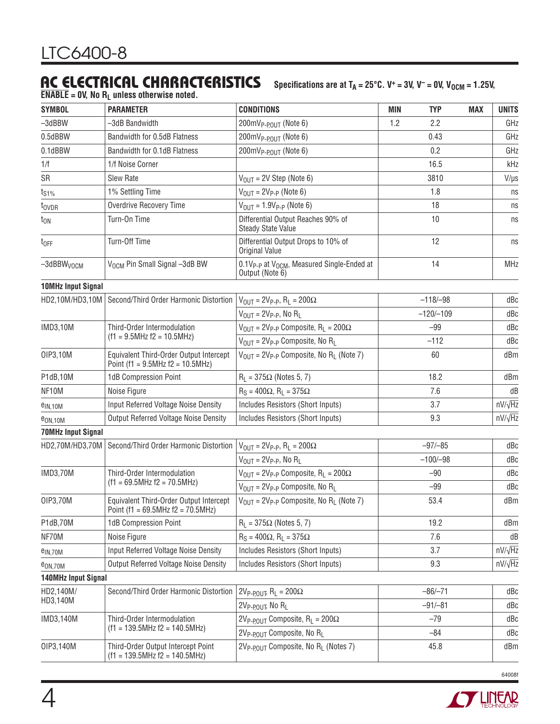## AC ELECTRICAL CHARACTERISTICS Specifications are at T<sub>A</sub> = 25°C. V<sup>+</sup> = 3V, V<sup>-</sup> = 0V, V<sub>OCM</sub> = 1.25V,

**ENABLE = 0V, No RL unless otherwise noted.**

| <b>SYMBOL</b>              | <b>PARAMETER</b>                                                                  | <b>CONDITIONS</b>                                                                     | <b>MIN</b> | <b>TYP</b>  | <b>MAX</b> | <b>UNITS</b>   |
|----------------------------|-----------------------------------------------------------------------------------|---------------------------------------------------------------------------------------|------------|-------------|------------|----------------|
| $-3$ d $BBW$               | -3dB Bandwidth                                                                    | 200mV <sub>P-POUT</sub> (Note 6)                                                      | 1.2        | 2.2         |            | GHz            |
| 0.5dBBW                    | Bandwidth for 0.5dB Flatness                                                      | 200mV <sub>P-POUT</sub> (Note 6)                                                      |            | 0.43        |            | GHz            |
| 0.1dBBW                    | Bandwidth for 0.1dB Flatness                                                      | 200mV <sub>P-POUT</sub> (Note 6)                                                      |            | 0.2         |            | GHz            |
| 1/f                        | 1/f Noise Corner                                                                  |                                                                                       |            | 16.5        |            | kHz            |
| SR                         | Slew Rate                                                                         | $V_{OIII}$ = 2V Step (Note 6)                                                         |            | 3810        |            | $V/\mu s$      |
| t <sub>S1%</sub>           | 1% Settling Time                                                                  | $V_{OIII} = 2V_{P-P}$ (Note 6)                                                        |            | 1.8         |            | ns             |
| t <sub>ovpr</sub>          | Overdrive Recovery Time                                                           | $V_{OIII} = 1.9V_{P-P}$ (Note 6)                                                      |            | 18          |            | ns             |
| $t_{ON}$                   | Turn-On Time                                                                      | Differential Output Reaches 90% of<br><b>Steady State Value</b>                       |            | 10          |            | ns             |
| $t_{OFF}$                  | Turn-Off Time                                                                     | Differential Output Drops to 10% of<br>Original Value                                 |            | 12          |            | ns             |
| $-3$ dBBW <sub>VOCM</sub>  | V <sub>OCM</sub> Pin Small Signal -3dB BW                                         | 0.1V <sub>P-P</sub> at V <sub>OCM</sub> , Measured Single-Ended at<br>Output (Note 6) |            | 14          |            | MHz            |
| <b>10MHz Input Signal</b>  |                                                                                   |                                                                                       |            |             |            |                |
| HD2,10M/HD3,10M            | Second/Third Order Harmonic Distortion                                            | $V_{OUT} = 2V_{P-P}$ , R <sub>L</sub> = 200 $\Omega$                                  |            | $-118/-98$  |            | dBc            |
|                            |                                                                                   | $V_{\text{OUT}} = 2V_{\text{P-P}}$ , No R <sub>L</sub>                                |            | $-120/-109$ |            | dBc            |
| <b>IMD3,10M</b>            | Third-Order Intermodulation                                                       | $V_{OIII}$ = 2V <sub>P-P</sub> Composite, R <sub>1</sub> = 200 $\Omega$               |            | $-99$       |            | dBc            |
|                            | $(f1 = 9.5MHz f2 = 10.5MHz)$                                                      | $V_{OUT} = 2V_{P-P}$ Composite, No R <sub>1</sub>                                     |            | $-112$      |            | dBc            |
| OIP3,10M                   | Equivalent Third-Order Output Intercept<br>Point (f1 = $9.5$ MHz f2 = $10.5$ MHz) | $V_{\text{OUT}} = 2V_{\text{P-P}}$ Composite, No R <sub>L</sub> (Note 7)              |            | 60          |            | dBm            |
| P1dB,10M                   | 1dB Compression Point                                                             | $R_1 = 375\Omega$ (Notes 5, 7)                                                        | 18.2       |             |            | dBm            |
| NF10M                      | Noise Figure                                                                      | $R_S = 400\Omega$ , $R_I = 375\Omega$                                                 |            | 7.6         |            | dB             |
| $e_{IN,10M}$               | Input Referred Voltage Noise Density                                              | Includes Resistors (Short Inputs)                                                     |            | 3.7         |            | $nV/\sqrt{Hz}$ |
| e <sub>ON,10M</sub>        | <b>Output Referred Voltage Noise Density</b>                                      | Includes Resistors (Short Inputs)                                                     |            | 9.3         |            | $nV/\sqrt{Hz}$ |
| <b>70MHz Input Signal</b>  |                                                                                   |                                                                                       |            |             |            |                |
| HD2,70M/HD3,70M            | Second/Third Order Harmonic Distortion                                            | $V_{\text{OUT}} = 2V_{\text{P-P}}, R_{\text{L}} = 200\Omega$                          |            | $-97/-85$   |            | dBc            |
|                            |                                                                                   | $V_{\text{OUT}} = 2V_{\text{P-P}}$ , No R <sub>L</sub>                                |            | $-100/-98$  |            | dBc            |
| <b>IMD3,70M</b>            | Third-Order Intermodulation                                                       | $V_{\text{OUT}} = 2V_{\text{P-P}}$ Composite, R <sub>L</sub> = 200 $\Omega$           |            | $-90$       |            | dBc            |
|                            | $(f1 = 69.5 \text{MHz} \text{f2} = 70.5 \text{MHz})$                              | $V_{\text{OUT}} = 2V_{\text{P-P}}$ Composite, No R <sub>L</sub>                       |            | $-99$       |            | dBc            |
| 01P3,70M                   | Equivalent Third-Order Output Intercept<br>Point (f1 = 69.5MHz f2 = $70.5$ MHz)   | $V_{\text{OUT}} = 2V_{\text{P-P}}$ Composite, No R <sub>1</sub> (Note 7)              |            | 53.4        |            | dBm            |
| P1dB,70M                   | 1dB Compression Point                                                             | $R_1 = 375\Omega$ (Notes 5, 7)                                                        |            | 19.2        |            | dBm            |
| NF70M                      | Noise Figure                                                                      | $R_S = 400\Omega$ , $R_I = 375\Omega$                                                 |            | 7.6         |            | dB             |
| $e$ <sub>IN,70M</sub>      | Input Referred Voltage Noise Density                                              | Includes Resistors (Short Inputs)                                                     |            | 3.7         |            | $nV/\sqrt{Hz}$ |
| e <sub>ON,70M</sub>        | <b>Output Referred Voltage Noise Density</b>                                      | Includes Resistors (Short Inputs)                                                     |            | 9.3         |            | $nV/\sqrt{Hz}$ |
| <b>140MHz Input Signal</b> |                                                                                   |                                                                                       |            |             |            |                |
| HD2,140M/                  | Second/Third Order Harmonic Distortion                                            | $2V_{P-POUT}$ , R <sub>L</sub> = $200\Omega$                                          |            | $-86/-71$   |            | dBc            |
| HD3,140M                   |                                                                                   | 2V <sub>P-POUT</sub> , No RL                                                          |            | $-91/-81$   |            | dBc            |
| IMD3,140M                  | Third-Order Intermodulation                                                       | $2V_{P-POUT}$ Composite, R <sub>L</sub> = 200 $\Omega$                                |            | $-79$       |            | dBc            |
|                            | $(f1 = 139.5MHz$ f2 = 140.5MHz)                                                   | 2V <sub>P-POUT</sub> Composite, No R <sub>I</sub>                                     |            | $-84$       |            | dBc            |
| OIP3,140M                  | Third-Order Output Intercept Point<br>$(f1 = 139.5MHz$ $f2 = 140.5MHz$            | 2V <sub>P-POUT</sub> Composite, No R <sub>L</sub> (Notes 7)                           |            | 45.8        |            | dBm            |

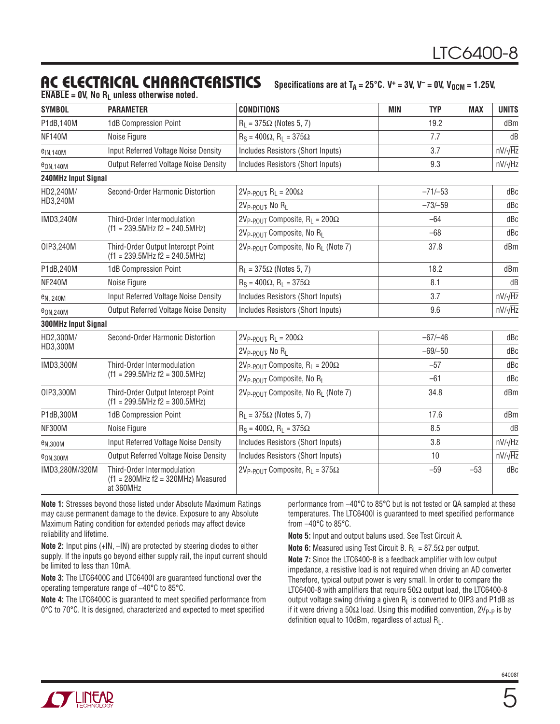## **AC ELECTRICAL CHARACTERISTICS**

Specifications are at  $T_A = 25^{\circ}$ C. V<sup>+</sup> = 3V, V<sup>-</sup> = 0V, V<sub>0CM</sub> = 1.25V,

**ENABLE** = 0V, No  $R_1$  unless otherwise noted.

| <b>SYMBOL</b>               | <b>PARAMETER</b>                                                                 | <b>CONDITIONS</b>                                          | <b>MIN</b><br><b>TYP</b> | <b>MAX</b><br><b>UNITS</b> |
|-----------------------------|----------------------------------------------------------------------------------|------------------------------------------------------------|--------------------------|----------------------------|
| P1dB,140M                   | 1dB Compression Point                                                            | $R_1 = 375\Omega$ (Notes 5, 7)                             | 19.2                     | dBm                        |
| <b>NF140M</b>               | Noise Figure                                                                     | $R_S = 400\Omega$ , $R_I = 375\Omega$                      | 7.7                      | dB                         |
| $e$ <sub>IN.140M</sub>      | Input Referred Voltage Noise Density                                             | Includes Resistors (Short Inputs)                          | 3.7                      | $nV/\sqrt{Hz}$             |
| e <sub>ON,140</sub> M       | <b>Output Referred Voltage Noise Density</b>                                     | Includes Resistors (Short Inputs)                          | 9.3                      | $nV/\sqrt{Hz}$             |
| 240MHz Input Signal         |                                                                                  |                                                            |                          |                            |
| HD2,240M/                   | Second-Order Harmonic Distortion                                                 | $2V_{P-POUT}$ , R <sub>L</sub> = $200\Omega$               | $-71/-53$                | dBc                        |
| HD3,240M                    |                                                                                  | $2V_{P-POIII}$ , No R <sub>1</sub>                         | $-73/-59$                | dBc                        |
| IMD3,240M                   | Third-Order Intermodulation                                                      | $2V_{P-POUT}$ Composite, R <sub>L</sub> = 200 $\Omega$     | $-64$                    | dBc                        |
|                             | $(f1 = 239.5MHz$ $f2 = 240.5MHz$                                                 | 2V <sub>P-POUT</sub> Composite, No R <sub>I</sub>          | $-68$                    | dBc                        |
| OIP3,240M                   | Third-Order Output Intercept Point<br>$(f1 = 239.5 MHz f2 = 240.5 MHz)$          | 2V <sub>P-POUT</sub> Composite, No R <sub>L</sub> (Note 7) | 37.8                     | dBm                        |
| P1dB,240M                   | 1dB Compression Point                                                            | $R_1 = 375\Omega$ (Notes 5, 7)                             | 18.2                     | dBm                        |
| <b>NF240M</b>               | Noise Figure                                                                     | $R_S = 400\Omega$ , $R_I = 375\Omega$                      | 8.1                      | dB                         |
| e <sub>N</sub> , 240M       | Input Referred Voltage Noise Density                                             | Includes Resistors (Short Inputs)                          | 3.7                      | $nV/\sqrt{Hz}$             |
| <b>e</b> <sub>ON.240M</sub> | <b>Output Referred Voltage Noise Density</b>                                     | Includes Resistors (Short Inputs)                          | 9.6                      | $nV/\sqrt{Hz}$             |
| 300MHz Input Signal         |                                                                                  |                                                            |                          |                            |
| HD2,300M/                   | Second-Order Harmonic Distortion                                                 | $2V_{P-POUT}$ , R <sub>L</sub> = $200\Omega$               | $-67/-46$                | dBc                        |
| HD3,300M                    |                                                                                  | 2V <sub>P-POUT</sub> , No R <sub>L</sub>                   | $-69/-50$                | dBc                        |
| IMD3,300M                   | Third-Order Intermodulation                                                      | $2V_{P-POIII}$ Composite, R <sub>1</sub> = 200 $\Omega$    | $-57$                    | dBc                        |
|                             | $(f1 = 299.5 MHz f2 = 300.5 MHz)$                                                | 2V <sub>P-POUT</sub> Composite, No R <sub>L</sub>          | $-61$                    | dBc                        |
| OIP3,300M                   | Third-Order Output Intercept Point<br>$(f1 = 299.5 MHz f2 = 300.5 MHz)$          | 2V <sub>P-POUT</sub> Composite, No R <sub>L</sub> (Note 7) | 34.8                     | dBm                        |
| P1dB,300M                   | 1dB Compression Point                                                            | $R_L = 375\Omega$ (Notes 5, 7)                             | 17.6                     | dBm                        |
| <b>NF300M</b>               | Noise Figure                                                                     | $R_S = 400\Omega$ , $R_I = 375\Omega$                      | 8.5                      | dB                         |
| e <sub>N,300</sub> M        | Input Referred Voltage Noise Density                                             | Includes Resistors (Short Inputs)                          | 3.8                      | $nV/\sqrt{Hz}$             |
| <b>e</b> ON,300M            | <b>Output Referred Voltage Noise Density</b>                                     | Includes Resistors (Short Inputs)                          | 10                       | $nV/\sqrt{Hz}$             |
| IMD3,280M/320M              | Third-Order Intermodulation<br>$(f1 = 280MHz f2 = 320MHz) Measured$<br>at 360MHz | $2V_{P-POUT}$ Composite, R <sub>L</sub> = 375 $\Omega$     | $-59$                    | $-53$<br>dBc               |

**Note 1:** Stresses beyond those listed under Absolute Maximum Ratings may cause permanent damage to the device. Exposure to any Absolute Maximum Rating condition for extended periods may affect device reliability and lifetime.

**Note 2:** Input pins (+IN, –IN) are protected by steering diodes to either supply. If the inputs go beyond either supply rail, the input current should be limited to less than 10mA.

**Note 3:** The LTC6400C and LTC6400I are guaranteed functional over the operating temperature range of –40°C to 85°C.

**Note 4:** The LTC6400C is quaranteed to meet specified performance from 0°C to 70°C. It is designed, characterized and expected to meet specified

performance from –40°C to 85°C but is not tested or QA sampled at these temperatures. The LTC6400I is guaranteed to meet specified performance from –40°C to 85°C.

**Note 5:** Input and output baluns used. See Test Circuit A.

**Note 6:** Measured using Test Circuit B. R<sub>L</sub> = 87.5Ω per output.

**Note 7:** Since the LTC6400-8 is a feedback amplifier with low output impedance, a resistive load is not required when driving an AD converter. Therefore, typical output power is very small. In order to compare the LTC6400-8 with amplifiers that require  $50\Omega$  output load, the LTC6400-8 output voltage swing driving a given  $R_L$  is converted to OIP3 and P1dB as if it were driving a 50 $\Omega$  load. Using this modified convention, 2V<sub>P-P</sub> is by definition equal to 10dBm, regardless of actual  $R<sub>L</sub>$ .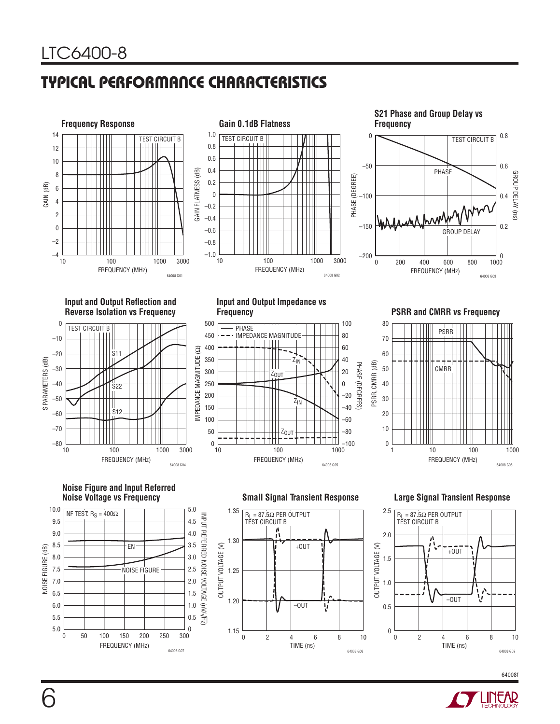# **TYPICAL PERFORMANCE CHARACTERISTICS**







**Input and Output Reflection and Reverse Isolation vs Frequency**



**Input and Output Impedance vs** 



**PSRR and CMRR vs Frequency** 



**Noise Figure and Input Referred** 



**Small Signal Transient Response Large Signal Transient Response** 





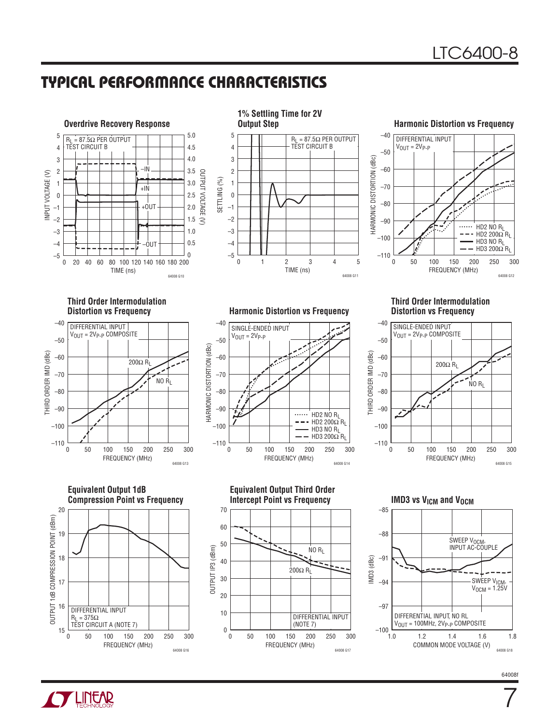## **TYPICAL PERFORMANCE CHARACTERISTICS**



**1% Settling Time for 2V**  5 R<sub>L</sub> = 87.5Ω PER OUTPUT<br>TEST CIRCUIT B 4 3 2 SETTLING (%) SETTLING (%) 1 0 –1 –2 –3 –4 –5 0 12 4 3 5 TIME (ns) 64008 G11

#### **Harmonic Distortion vs Frequency**



# **Third Order Intermodulation**



**Equivalent Output 1dB Compression Point vs Frequency** 20 OUTPUT 1dB COMPRESSION POINT (dBm) OUTPUT 1dB COMPRESSION POINT (dBm) 19 18 17





**Distortion vs Frequency Harmonic Distortion vs Frequency**



#### **Third Order Intermodulation Distortion vs Frequency**





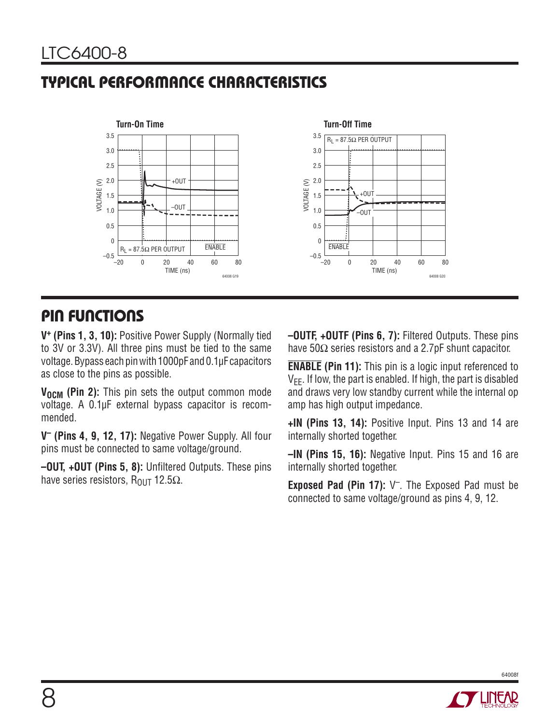# **TYPICAL PERFORMANCE CHARACTERISTICS**



### **PIN FUNCTIONS**

**V+ (Pins 1, 3, 10):** Positive Power Supply (Normally tied to 3V or 3.3V). All three pins must be tied to the same voltage. Bypass each pin with 1000pF and 0.1μF capacitors as close to the pins as possible.

**V<sub>OCM</sub>** (Pin 2): This pin sets the output common mode voltage. A 0.1μF external bypass capacitor is recommended.

**V– (Pins 4, 9, 12, 17):** Negative Power Supply. All four pins must be connected to same voltage/ground.

**–OUT, +OUT (Pins 5, 8):** Unfiltered Outputs. These pins have series resistors,  $R_{\text{OUT}}$  12.5 $\Omega$ .

**–OUTF, +OUTF (Pins 6, 7):** Filtered Outputs. These pins have 50Ω series resistors and a 2.7pF shunt capacitor.

**ENABLE (Pin 11):** This pin is a logic input referenced to  $V_{FF}$ . If low, the part is enabled. If high, the part is disabled and draws very low standby current while the internal op amp has high output impedance.

**+IN (Pins 13, 14):** Positive Input. Pins 13 and 14 are internally shorted together.

**–IN (Pins 15, 16):** Negative Input. Pins 15 and 16 are internally shorted together.

**Exposed Pad (Pin 17):** V–. The Exposed Pad must be connected to same voltage/ground as pins 4, 9, 12.

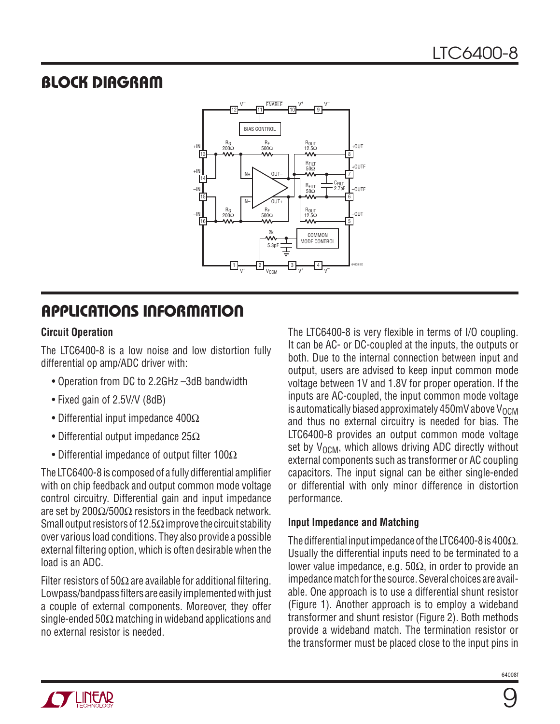## **BLOCK DIAGRAM**



# **APPLICATIONS INFORMATION**

#### **Circuit Operation**

The LTC6400-8 is a low noise and low distortion fully differential op amp/ADC driver with:

- Operation from DC to 2.2GHz –3dB bandwidth
- Fixed gain of 2.5V/V (8dB)
- Differential input impedance 400Ω
- Differential output impedance  $25\Omega$
- Differential impedance of output filter  $100\Omega$

The LTC6400-8 is composed of a fully differential amplifier with on chip feedback and output common mode voltage control circuitry. Differential gain and input impedance are set by 200Ω/500Ω resistors in the feedback network. Small output resistors of 12.5 $\Omega$  improve the circuit stability over various load conditions. They also provide a possible external filtering option, which is often desirable when the load is an ADC.

Filter resistors of 50 $\Omega$  are available for additional filtering. Lowpass/bandpass filters are easily implemented with just a couple of external components. Moreover, they offer single-ended 50 $\Omega$  matching in wideband applications and no external resistor is needed.

The LTC6400-8 is very flexible in terms of I/O coupling. It can be AC- or DC-coupled at the inputs, the outputs or both. Due to the internal connection between input and output, users are advised to keep input common mode voltage between 1V and 1.8V for proper operation. If the inputs are AC-coupled, the input common mode voltage is automatically biased approximately 450mV above  $V_{\Omega CM}$ and thus no external circuitry is needed for bias. The LTC6400-8 provides an output common mode voltage set by  $V_{OCM}$ , which allows driving ADC directly without external components such as transformer or AC coupling capacitors. The input signal can be either single-ended or differential with only minor difference in distortion performance.

#### **Input Impedance and Matching**

The differential input impedance of the LTC6400-8 is 400Ω. Usually the differential inputs need to be terminated to a lower value impedance, e.g. 50Ω, in order to provide an impedance match for the source. Several choices are available. One approach is to use a differential shunt resistor (Figure 1). Another approach is to employ a wideband transformer and shunt resistor (Figure 2). Both methods provide a wideband match. The termination resistor or the transformer must be placed close to the input pins in

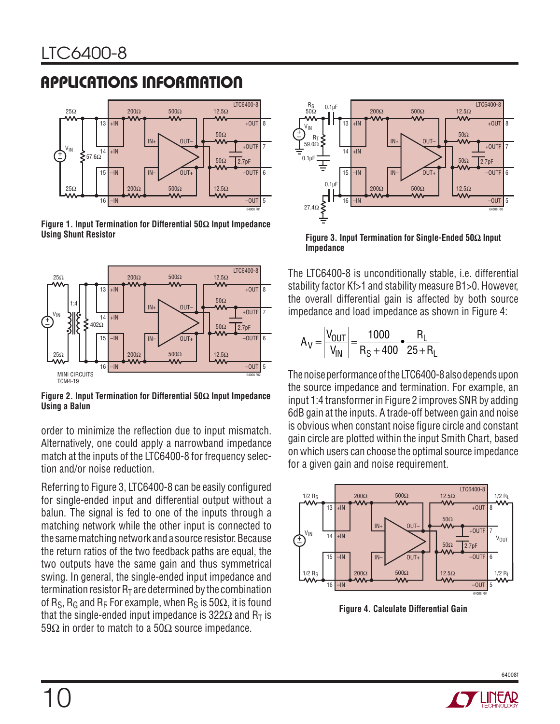# **APPLICATIONS INFORMATION**



**Figure 1. Input Termination for Differential 50Ω Input Impedance Using Shunt Resistor**



**Figure 2. Input Termination for Differential 50Ω Input Impedance Using a Balun**

order to minimize the reflection due to input mismatch. Alternatively, one could apply a narrowband impedance match at the inputs of the LTC6400-8 for frequency selection and/or noise reduction.

Referring to Figure 3, LTC6400-8 can be easily configured for single-ended input and differential output without a balun. The signal is fed to one of the inputs through a matching network while the other input is connected to the same matching network and a source resistor. Because the return ratios of the two feedback paths are equal, the two outputs have the same gain and thus symmetrical swing. In general, the single-ended input impedance and termination resistor  $R<sub>T</sub>$  are determined by the combination of R<sub>S</sub>, R<sub>G</sub> and R<sub>F</sub> For example, when R<sub>S</sub> is 50 $\Omega$ , it is found that the single-ended input impedance is 322 $\Omega$  and R<sub>T</sub> is 59 $\Omega$  in order to match to a 50 $\Omega$  source impedance.



**Figure 3. Input Termination for Single-Ended 50Ω Input Impedance**

The LTC6400-8 is unconditionally stable, i.e. differential stability factor Kf>1 and stability measure B1>0. However, the overall differential gain is affected by both source impedance and load impedance as shown in Figure 4:

$$
A_V = \left| \frac{V_{OUT}}{V_{IN}} \right| = \frac{1000}{R_S + 400} \cdot \frac{R_L}{25 + R_L}
$$

The noise performance of the LTC6400-8 also depends upon the source impedance and termination. For example, an input 1:4 transformer in Figure 2 improves SNR by adding 6dB gain at the inputs. A trade-off between gain and noise is obvious when constant noise figure circle and constant gain circle are plotted within the input Smith Chart, based on which users can choose the optimal source impedance for a given gain and noise requirement.



**Figure 4. Calculate Differential Gain**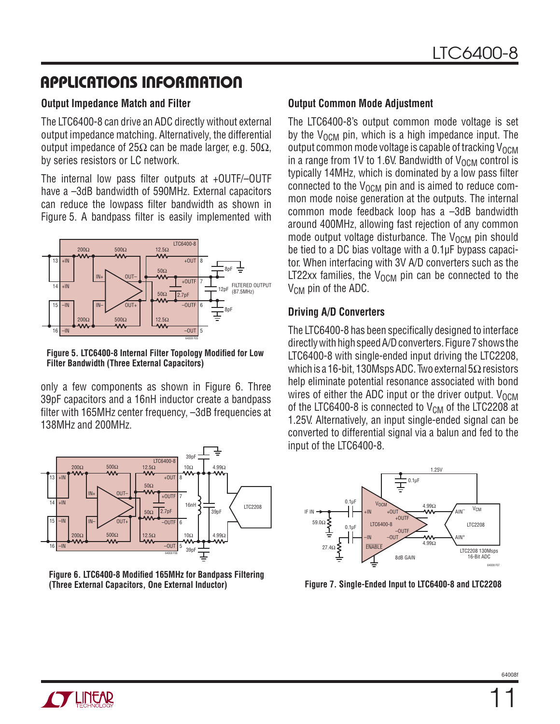## **APPLICATIONS INFORMATION**

#### **Output Impedance Match and Filter**

The LTC6400-8 can drive an ADC directly without external output impedance matching. Alternatively, the differential output impedance of 25Ω can be made larger, e.g. 50Ω, by series resistors or LC network.

The internal low pass filter outputs at  $+$ OUTF $/$ –OUTF have a -3dB bandwidth of 590MHz. External capacitors can reduce the lowpass filter bandwidth as shown in Figure 5. A bandpass filter is easily implemented with



#### **Figure 5. LTC6400-8 Internal Filter Topology Modified for Low Filter Bandwidth (Three External Capacitors)**

only a few components as shown in Figure 6. Three 39pF capacitors and a 16nH inductor create a bandpass filter with 165MHz center frequency, -3dB frequencies at 138MHz and 200MHz.



**Figure 6. LTC6400-8 Modified 165MHz for Bandpass Filtering (Three External Capacitors, One External Inductor)**

#### **Output Common Mode Adjustment**

The LTC6400-8's output common mode voltage is set by the  $V_{\Omega CM}$  pin, which is a high impedance input. The output common mode voltage is capable of tracking  $V_{\text{OCM}}$ in a range from 1V to 1.6V. Bandwidth of  $V_{\text{OCM}}$  control is typically 14MHz, which is dominated by a low pass filter connected to the  $V_{\Omega CM}$  pin and is aimed to reduce common mode noise generation at the outputs. The internal common mode feedback loop has a –3dB bandwidth around 400MHz, allowing fast rejection of any common mode output voltage disturbance. The  $V_{\text{OCM}}$  pin should be tied to a DC bias voltage with a 0.1μF bypass capacitor. When interfacing with 3V A/D converters such as the LT22xx families, the  $V_{OCM}$  pin can be connected to the  $V_{CM}$  pin of the ADC.

#### **Driving A/D Converters**

The LTC6400-8 has been specifically designed to interface directly with high speed A/D converters. Figure 7 shows the LTC6400-8 with single-ended input driving the LTC2208, which is a 16-bit, 130Msps ADC. Two external 5Ω resistors help eliminate potential resonance associated with bond wires of either the ADC input or the driver output.  $V_{\Omega CM}$ of the LTC6400-8 is connected to  $\rm V_{CM}$  of the LTC2208 at 1.25V. Alternatively, an input single-ended signal can be converted to differential signal via a balun and fed to the input of the LTC6400-8.



**Figure 7. Single-Ended Input to LTC6400-8 and LTC2208**

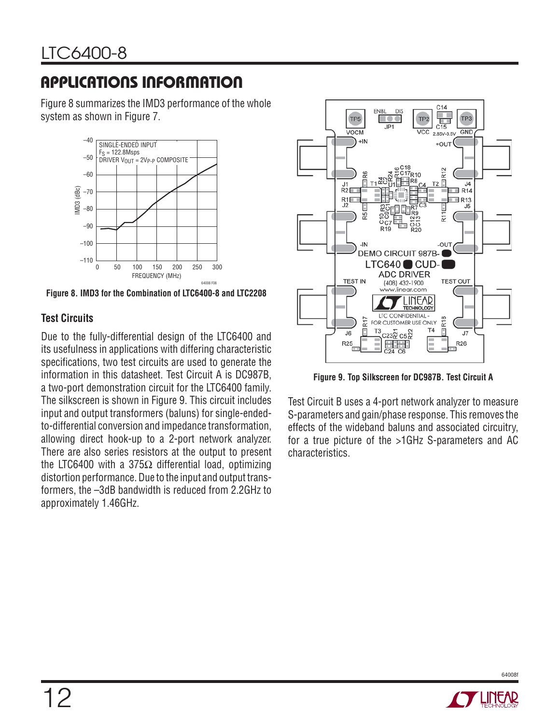# **APPLICATIONS INFORMATION**

Figure 8 summarizes the IMD3 performance of the whole system as shown in Figure 7.



**Figure 8. IMD3 for the Combination of LTC6400-8 and LTC2208**

#### **Test Circuits**

Due to the fully-differential design of the LTC6400 and its usefulness in applications with differing characteristic specifications, two test circuits are used to generate the information in this datasheet. Test Circuit A is DC987B, a two-port demonstration circuit for the LTC6400 family. The silkscreen is shown in Figure 9. This circuit includes input and output transformers (baluns) for single-endedto-differential conversion and impedance transformation, allowing direct hook-up to a 2-port network analyzer. There are also series resistors at the output to present the LTC6400 with a 375 $Ω$  differential load, optimizing distortion performance. Due to the input and output transformers, the –3dB bandwidth is reduced from 2.2GHz to approximately 1.46GHz.



**Figure 9. Top Silkscreen for DC987B. Test Circuit A**

Test Circuit B uses a 4-port network analyzer to measure S-parameters and gain/phase response. This removes the effects of the wideband baluns and associated circuitry, for a true picture of the >1GHz S-parameters and AC characteristics.

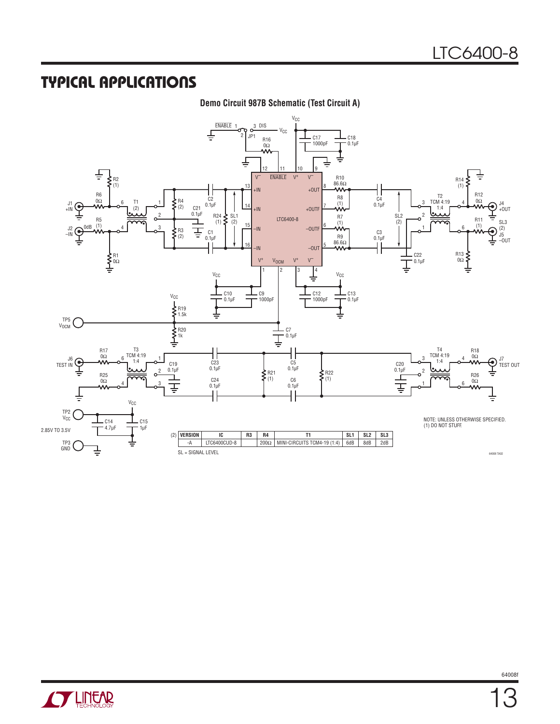#### **TYPICAL APPLICATIONS**

#### **Demo Circuit 987B Schematic (Test Circuit A)**



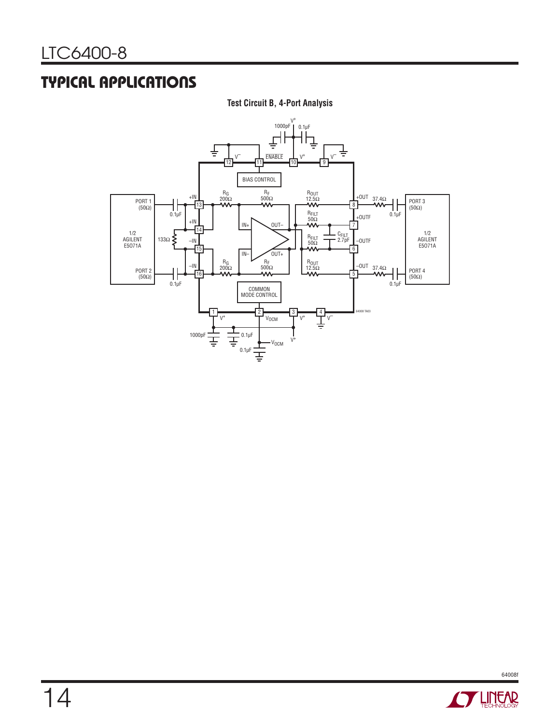## **TYPICAL APPLICATIONS**

#### **Test Circuit B, 4-Port Analysis**



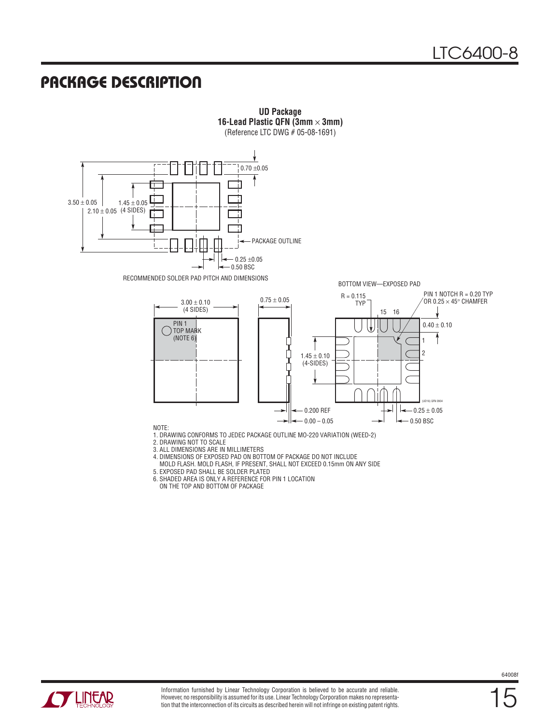### **PACKAGE DESCRIPTION**



**UD Package 16-Lead Plastic QFN (3mm** × **3mm)**

ON THE TOP AND BOTTOM OF PACKAGE